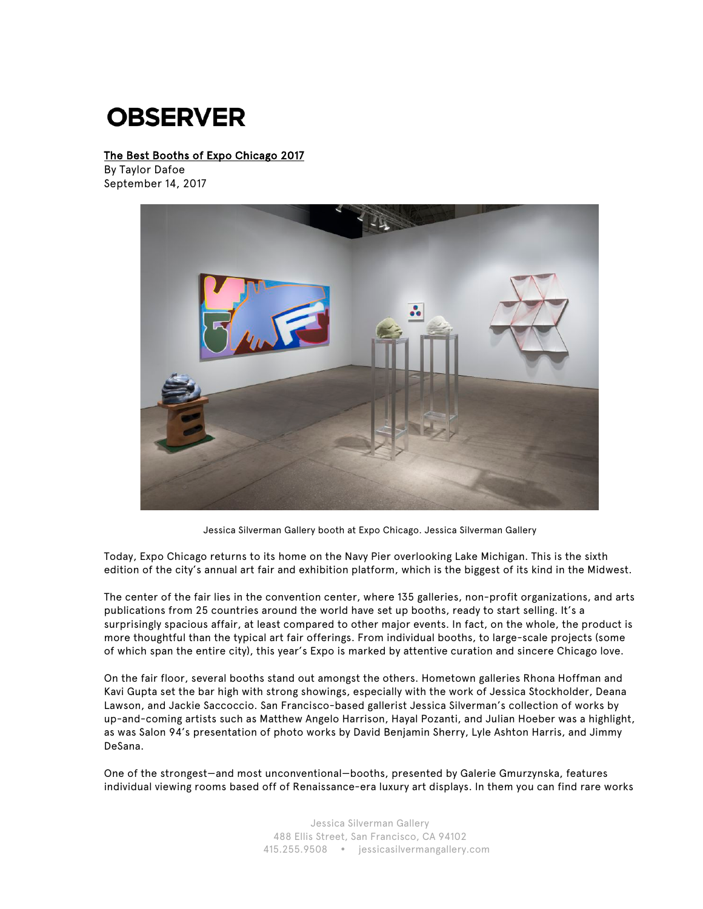## **OBSERVER**

## The Best Booths of Expo Chicago 2017

By Taylor Dafoe September 14, 2017



Jessica Silverman Gallery booth at Expo Chicago. Jessica Silverman Gallery

Today, Expo Chicago returns to its home on the Navy Pier overlooking Lake Michigan. This is the sixth edition of the city's annual art fair and exhibition platform, which is the biggest of its kind in the Midwest.

The center of the fair lies in the convention center, where 135 galleries, non-profit organizations, and arts publications from 25 countries around the world have set up booths, ready to start selling. It's a surprisingly spacious affair, at least compared to other major events. In fact, on the whole, the product is more thoughtful than the typical art fair offerings. From individual booths, to large-scale projects (some of which span the entire city), this year's Expo is marked by attentive curation and sincere Chicago love.

On the fair floor, several booths stand out amongst the others. Hometown galleries Rhona Hoffman and Kavi Gupta set the bar high with strong showings, especially with the work of Jessica Stockholder, Deana Lawson, and Jackie Saccoccio. San Francisco-based gallerist Jessica Silverman's collection of works by up-and-coming artists such as Matthew Angelo Harrison, Hayal Pozanti, and Julian Hoeber was a highlight, as was Salon 94's presentation of photo works by David Benjamin Sherry, Lyle Ashton Harris, and Jimmy DeSana.

One of the strongest—and most unconventional—booths, presented by Galerie Gmurzynska, features individual viewing rooms based off of Renaissance-era luxury art displays. In them you can find rare works